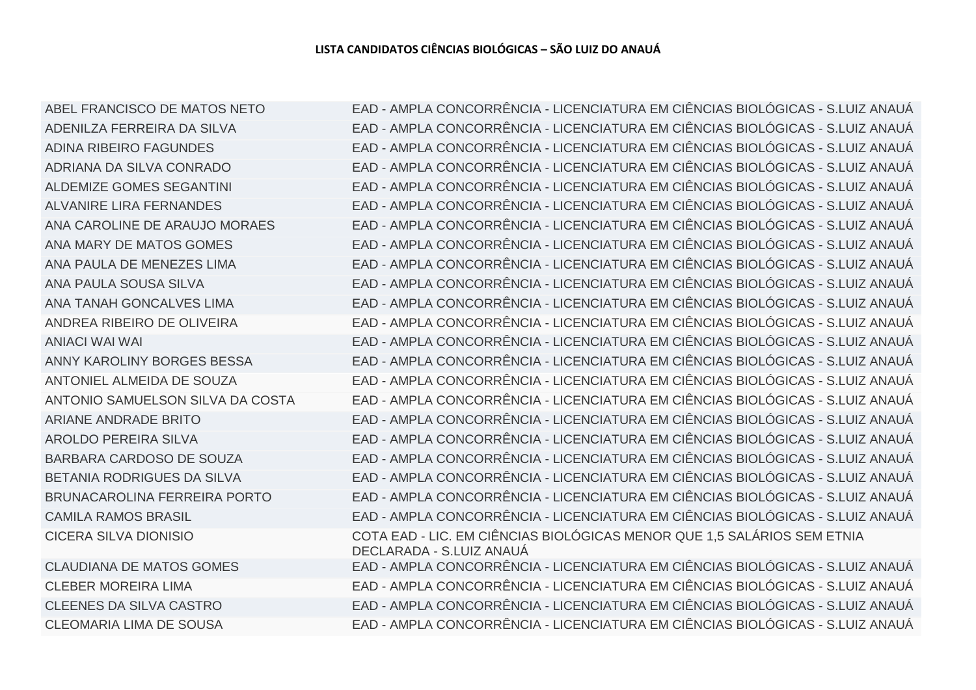ABEL FRANCISCO DE MATOS NETO EAD - AMPLA CONCORRÊNCIA - LICENCIATURA EM CIÊNCIAS BIOLÓGICAS - S.LUIZ ANAUÁ ADENILZA FERREIRA DA SILVA EAD - AMPLA CONCORRÊNCIA - LICENCIATURA EM CIÊNCIAS BIOLÓGICAS - S.LUIZ ANAUÁ ADINA RIBEIRO FAGUNDES EAD - AMPLA CONCORRÊNCIA - LICENCIATURA EM CIÊNCIAS BIOLÓGICAS - S.LUIZ ANAUÁ ADRIANA DA SILVA CONRADO EAD - AMPLA CONCORRÊNCIA - LICENCIATURA EM CIÊNCIAS BIOLÓGICAS - S.LUIZ ANAUÁ ALDEMIZE GOMES SEGANTINI EAD - AMPLA CONCORRÊNCIA - LICENCIATURA EM CIÊNCIAS BIOLÓGICAS - S.LUIZ ANAUÁ ALVANIRE LIRA FERNANDES EAD - AMPLA CONCORRÊNCIA - LICENCIATURA EM CIÊNCIAS BIOLÓGICAS - S.LUIZ ANAUÁ ANA CAROLINE DE ARAUJO MORAES EAD - AMPLA CONCORRÊNCIA - LICENCIATURA EM CIÊNCIAS BIOLÓGICAS - S.LUIZ ANAUÁ ANA MARY DE MATOS GOMES EAD - AMPLA CONCORRÊNCIA - LICENCIATURA EM CIÊNCIAS BIOLÓGICAS - S.LUIZ ANAUÁ ANA PAULA DE MENEZES LIMA EAD - AMPLA CONCORRÊNCIA - LICENCIATURA EM CIÊNCIAS BIOLÓGICAS - S.LUIZ ANAUÁ ANA PAULA SOUSA SILVA EAD - AMPLA CONCORRÊNCIA - LICENCIATURA EM CIÊNCIAS BIOLÓGICAS - S.LUIZ ANAUÁ ANA TANAH GONCALVES LIMA EAD - AMPLA CONCORRÊNCIA - LICENCIATURA EM CIÊNCIAS BIOLÓGICAS - S.LUIZ ANAUÁ ANDREA RIBEIRO DE OLIVEIRA EAD - AMPLA CONCORRÊNCIA - LICENCIATURA EM CIÊNCIAS BIOLÓGICAS - S.LUIZ ANAUÁ ANIACI WAI WAI EAD - AMPLA CONCORRÊNCIA - LICENCIATURA EM CIÊNCIAS BIOLÓGICAS - S.LUIZ ANAUÁ ANNY KAROLINY BORGES BESSA EAD - AMPLA CONCORRÊNCIA - LICENCIATURA EM CIÊNCIAS BIOLÓGICAS - S.LUIZ ANAUÁ ANTONIEL ALMEIDA DE SOUZA EAD - AMPLA CONCORRÊNCIA - LICENCIATURA EM CIÊNCIAS BIOLÓGICAS - S.LUIZ ANAUÁ ANTONIO SAMUELSON SILVA DA COSTA EAD - AMPLA CONCORRÊNCIA - LICENCIATURA EM CIÊNCIAS BIOLÓGICAS - S.LUIZ ANAUÁ ARIANE ANDRADE BRITO EAD - AMPLA CONCORRÊNCIA - LICENCIATURA EM CIÊNCIAS BIOLÓGICAS - S.LUIZ ANAUÁ AROLDO PEREIRA SILVA EAD - AMPLA CONCORRÊNCIA - LICENCIATURA EM CIÊNCIAS BIOLÓGICAS - S.LUIZ ANAUÁ BARBARA CARDOSO DE SOUZA EAD - AMPLA CONCORRÊNCIA - LICENCIATURA EM CIÊNCIAS BIOLÓGICAS - S.LUIZ ANAUÁ BETANIA RODRIGUES DA SILVA EAD - AMPLA CONCORRÊNCIA - LICENCIATURA EM CIÊNCIAS BIOLÓGICAS - S.LUIZ ANAUÁ BRUNACAROLINA FERREIRA PORTO EAD - AMPLA CONCORRÊNCIA - LICENCIATURA EM CIÊNCIAS BIOLÓGICAS - S.LUIZ ANAUÁ CAMILA RAMOS BRASIL EAD - AMPLA CONCORRÊNCIA - LICENCIATURA EM CIÊNCIAS BIOLÓGICAS - S.LUIZ ANAUÁ CICERA SILVA DIONISIO COTA EAD - LIC. EM CIÊNCIAS BIOLÓGICAS MENOR QUE 1,5 SALÁRIOS SEM ETNIA DECLARADA - S.LUIZ ANAUÁ CLAUDIANA DE MATOS GOMES EAD - AMPLA CONCORRÊNCIA - LICENCIATURA EM CIÊNCIAS BIOLÓGICAS - S.LUIZ ANAUÁ CLEBER MOREIRA LIMA EAD - AMPLA CONCORRÊNCIA - LICENCIATURA EM CIÊNCIAS BIOLÓGICAS - S.LUIZ ANAUÁ CLEENES DA SILVA CASTRO EAD - AMPLA CONCORRÊNCIA - LICENCIATURA EM CIÊNCIAS BIOLÓGICAS - S.LUIZ ANAUÁ

CLEOMARIA LIMA DE SOUSA EAD - AMPLA CONCORRÊNCIA - LICENCIATURA EM CIÊNCIAS BIOLÓGICAS - S.LUIZ ANAUÁ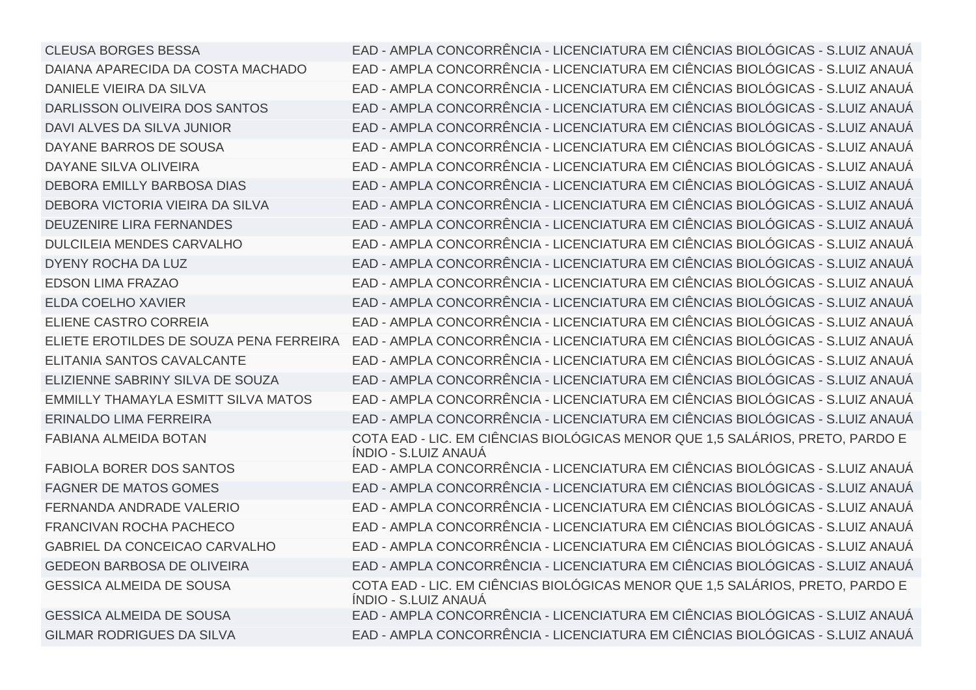| <b>CLEUSA BORGES BESSA</b>                 | EAD - AMPLA CONCORRÊNCIA - LICENCIATURA EM CIÊNCIAS BIOLÓGICAS - S.LUIZ ANAUÁ                         |
|--------------------------------------------|-------------------------------------------------------------------------------------------------------|
| DAIANA APARECIDA DA COSTA MACHADO          | EAD - AMPLA CONCORRÊNCIA - LICENCIATURA EM CIÊNCIAS BIOLÓGICAS - S.LUIZ ANAUÁ                         |
| DANIELE VIEIRA DA SILVA                    | EAD - AMPLA CONCORRÊNCIA - LICENCIATURA EM CIÊNCIAS BIOLÓGICAS - S.LUIZ ANAUÁ                         |
| DARLISSON OLIVEIRA DOS SANTOS              | EAD - AMPLA CONCORRÊNCIA - LICENCIATURA EM CIÊNCIAS BIOLÓGICAS - S.LUIZ ANAUÁ                         |
| DAVI ALVES DA SILVA JUNIOR                 | EAD - AMPLA CONCORRÊNCIA - LICENCIATURA EM CIÊNCIAS BIOLÓGICAS - S.LUIZ ANAUÁ                         |
| DAYANE BARROS DE SOUSA                     | EAD - AMPLA CONCORRÊNCIA - LICENCIATURA EM CIÊNCIAS BIOLÓGICAS - S.LUIZ ANAUÁ                         |
| DAYANE SILVA OLIVEIRA                      | EAD - AMPLA CONCORRÊNCIA - LICENCIATURA EM CIÊNCIAS BIOLÓGICAS - S.LUIZ ANAUÁ                         |
| DEBORA EMILLY BARBOSA DIAS                 | EAD - AMPLA CONCORRÊNCIA - LICENCIATURA EM CIÊNCIAS BIOLÓGICAS - S.LUIZ ANAUÁ                         |
| DEBORA VICTORIA VIEIRA DA SILVA            | EAD - AMPLA CONCORRÊNCIA - LICENCIATURA EM CIÊNCIAS BIOLÓGICAS - S.LUIZ ANAUÁ                         |
| DEUZENIRE LIRA FERNANDES                   | EAD - AMPLA CONCORRÊNCIA - LICENCIATURA EM CIÊNCIAS BIOLÓGICAS - S.LUIZ ANAUÁ                         |
| <b>DULCILEIA MENDES CARVALHO</b>           | EAD - AMPLA CONCORRÊNCIA - LICENCIATURA EM CIÊNCIAS BIOLÓGICAS - S.LUIZ ANAUÁ                         |
| DYENY ROCHA DA LUZ                         | EAD - AMPLA CONCORRÊNCIA - LICENCIATURA EM CIÊNCIAS BIOLÓGICAS - S.LUIZ ANAUÁ                         |
| <b>EDSON LIMA FRAZAO</b>                   | EAD - AMPLA CONCORRÊNCIA - LICENCIATURA EM CIÊNCIAS BIOLÓGICAS - S.LUIZ ANAUÁ                         |
| <b>ELDA COELHO XAVIER</b>                  | EAD - AMPLA CONCORRÊNCIA - LICENCIATURA EM CIÊNCIAS BIOLÓGICAS - S.LUIZ ANAUÁ                         |
| ELIENE CASTRO CORREIA                      | EAD - AMPLA CONCORRÊNCIA - LICENCIATURA EM CIÊNCIAS BIOLÓGICAS - S.LUIZ ANAUÁ                         |
| ELIETE EROTILDES DE SOUZA PENA FERREIRA    | EAD - AMPLA CONCORRÊNCIA - LICENCIATURA EM CIÊNCIAS BIOLÓGICAS - S.LUIZ ANAUÁ                         |
| ELITANIA SANTOS CAVALCANTE                 | EAD - AMPLA CONCORRÊNCIA - LICENCIATURA EM CIÊNCIAS BIOLÓGICAS - S.LUIZ ANAUÁ                         |
| ELIZIENNE SABRINY SILVA DE SOUZA           | EAD - AMPLA CONCORRÊNCIA - LICENCIATURA EM CIÊNCIAS BIOLÓGICAS - S.LUIZ ANAUÁ                         |
| <b>EMMILLY THAMAYLA ESMITT SILVA MATOS</b> | EAD - AMPLA CONCORRÊNCIA - LICENCIATURA EM CIÊNCIAS BIOLÓGICAS - S.LUIZ ANAUÁ                         |
| <b>ERINALDO LIMA FERREIRA</b>              | EAD - AMPLA CONCORRÊNCIA - LICENCIATURA EM CIÊNCIAS BIOLÓGICAS - S.LUIZ ANAUÁ                         |
| <b>FABIANA ALMEIDA BOTAN</b>               | COTA EAD - LIC. EM CIÊNCIAS BIOLÓGICAS MENOR QUE 1,5 SALÁRIOS, PRETO, PARDO E<br>ÍNDIO - S.LUIZ ANAUÁ |
| <b>FABIOLA BORER DOS SANTOS</b>            | EAD - AMPLA CONCORRÊNCIA - LICENCIATURA EM CIÊNCIAS BIOLÓGICAS - S.LUIZ ANAUÁ                         |
| <b>FAGNER DE MATOS GOMES</b>               | EAD - AMPLA CONCORRÊNCIA - LICENCIATURA EM CIÊNCIAS BIOLÓGICAS - S.LUIZ ANAUÁ                         |
| FERNANDA ANDRADE VALERIO                   | EAD - AMPLA CONCORRÊNCIA - LICENCIATURA EM CIÊNCIAS BIOLÓGICAS - S.LUIZ ANAUÁ                         |
| FRANCIVAN ROCHA PACHECO                    | EAD - AMPLA CONCORRÊNCIA - LICENCIATURA EM CIÊNCIAS BIOLÓGICAS - S.LUIZ ANAUÁ                         |
| GABRIEL DA CONCEICAO CARVALHO              | EAD - AMPLA CONCORRÊNCIA - LICENCIATURA EM CIÊNCIAS BIOLÓGICAS - S.LUIZ ANAUÁ                         |
| <b>GEDEON BARBOSA DE OLIVEIRA</b>          | EAD - AMPLA CONCORRÊNCIA - LICENCIATURA EM CIÊNCIAS BIOLÓGICAS - S.LUIZ ANAUÁ                         |
| <b>GESSICA ALMEIDA DE SOUSA</b>            | COTA EAD - LIC. EM CIÊNCIAS BIOLÓGICAS MENOR QUE 1,5 SALÁRIOS, PRETO, PARDO E<br>ÍNDIO - S.LUIZ ANAUÁ |
| <b>GESSICA ALMEIDA DE SOUSA</b>            | EAD - AMPLA CONCORRÊNCIA - LICENCIATURA EM CIÊNCIAS BIOLÓGICAS - S.LUIZ ANAUÁ                         |
| <b>GILMAR RODRIGUES DA SILVA</b>           | EAD - AMPLA CONCORRÊNCIA - LICENCIATURA EM CIÊNCIAS BIOLÓGICAS - S.LUIZ ANAUÁ                         |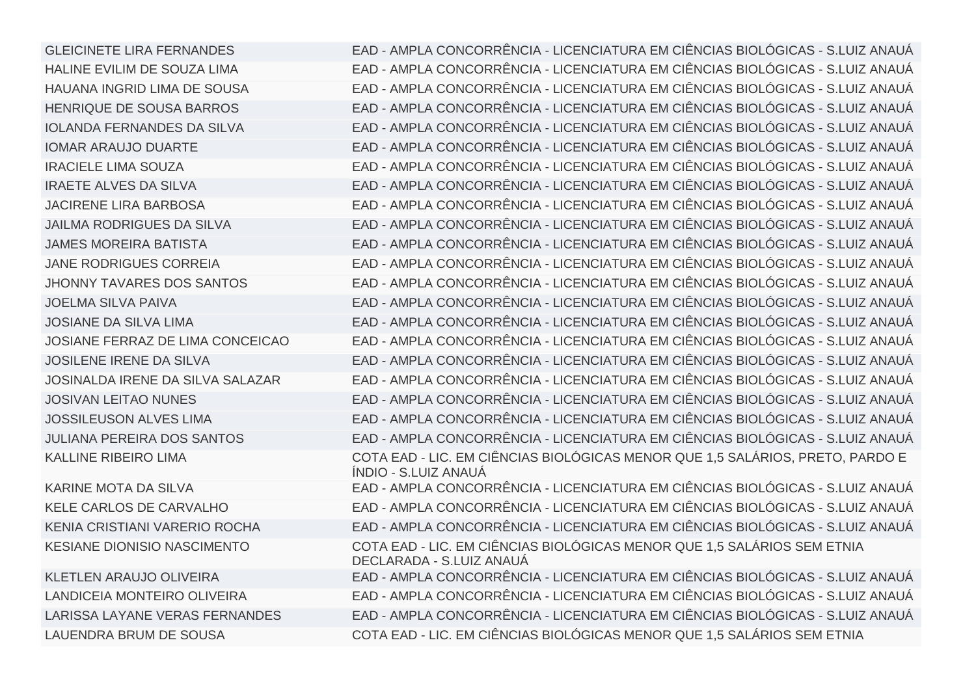GLEICINETE LIRA FERNANDES EAD - AMPLA CONCORRÊNCIA - LICENCIATURA EM CIÊNCIAS BIOLÓGICAS - S.LUIZ ANAUÁ HALINE EVILIM DE SOUZA LIMA EAD - AMPLA CONCORRÊNCIA - LICENCIATURA EM CIÊNCIAS BIOLÓGICAS - S.LUIZ ANAUÁ HAUANA INGRID LIMA DE SOUSA EAD - AMPLA CONCORRÊNCIA - LICENCIATURA EM CIÊNCIAS BIOLÓGICAS - S.LUIZ ANAUÁ HENRIQUE DE SOUSA BARROS EAD - AMPLA CONCORRÊNCIA - LICENCIATURA EM CIÊNCIAS BIOLÓGICAS - S.LUIZ ANAUÁ IOLANDA FERNANDES DA SILVA EAD - AMPLA CONCORRÊNCIA - LICENCIATURA EM CIÊNCIAS BIOLÓGICAS - S.LUIZ ANAUÁ IOMAR ARAUJO DUARTE EAD - AMPLA CONCORRÊNCIA - LICENCIATURA EM CIÊNCIAS BIOLÓGICAS - S.LUIZ ANAUÁ IRACIELE LIMA SOUZA EAD - AMPLA CONCORRÊNCIA - LICENCIATURA EM CIÊNCIAS BIOLÓGICAS - S.LUIZ ANAUÁ IRAETE ALVES DA SILVA EAD - AMPLA CONCORRÊNCIA - LICENCIATURA EM CIÊNCIAS BIOLÓGICAS - S.LUIZ ANAUÁ JACIRENE LIRA BARBOSA EAD - AMPLA CONCORRÊNCIA - LICENCIATURA EM CIÊNCIAS BIOLÓGICAS - S.LUIZ ANAUÁ JAILMA RODRIGUES DA SILVA EAD - AMPLA CONCORRÊNCIA - LICENCIATURA EM CIÊNCIAS BIOLÓGICAS - S.LUIZ ANAUÁ JAMES MOREIRA BATISTA EAD - AMPLA CONCORRÊNCIA - LICENCIATURA EM CIÊNCIAS BIOLÓGICAS - S.LUIZ ANAUÁ JANE RODRIGUES CORREIA EAD - AMPLA CONCORRÊNCIA - LICENCIATURA EM CIÊNCIAS BIOLÓGICAS - S.LUIZ ANAUÁ JHONNY TAVARES DOS SANTOS EAD - AMPLA CONCORRÊNCIA - LICENCIATURA EM CIÊNCIAS BIOLÓGICAS - S.LUIZ ANAUÁ JOELMA SILVA PAIVA EAD - AMPLA CONCORRÊNCIA - LICENCIATURA EM CIÊNCIAS BIOLÓGICAS - S.LUIZ ANAUÁ JOSIANE DA SILVA LIMA EAD - AMPLA CONCORRÊNCIA - LICENCIATURA EM CIÊNCIAS BIOLÓGICAS - S.LUIZ ANAUÁ JOSIANE FERRAZ DE LIMA CONCEICAO EAD - AMPLA CONCORRÊNCIA - LICENCIATURA EM CIÊNCIAS BIOLÓGICAS - S.LUIZ ANAUÁ JOSILENE IRENE DA SILVA EAD - AMPLA CONCORRÊNCIA - LICENCIATURA EM CIÊNCIAS BIOLÓGICAS - S.LUIZ ANAUÁ JOSINALDA IRENE DA SILVA SALAZAR EAD - AMPLA CONCORRÊNCIA - LICENCIATURA EM CIÊNCIAS BIOLÓGICAS - S.LUIZ ANAUÁ JOSIVAN LEITAO NUNES EAD - AMPLA CONCORRÊNCIA - LICENCIATURA EM CIÊNCIAS BIOLÓGICAS - S.LUIZ ANAUÁ JOSSILEUSON ALVES LIMA EAD - AMPLA CONCORRÊNCIA - LICENCIATURA EM CIÊNCIAS BIOLÓGICAS - S.LUIZ ANAUÁ JULIANA PEREIRA DOS SANTOS EAD - AMPLA CONCORRÊNCIA - LICENCIATURA EM CIÊNCIAS BIOLÓGICAS - S.LUIZ ANAUÁ KALLINE RIBEIRO LIMA COTA EAD - LIC. EM CIÊNCIAS BIOLÓGICAS MENOR QUE 1,5 SALÁRIOS, PRETO, PARDO E ÍNDIO - S.LUIZ ANAUÁ KARINE MOTA DA SILVA EAD - AMPLA CONCORRÊNCIA - LICENCIATURA EM CIÊNCIAS BIOLÓGICAS - S.LUIZ ANAUÁ KELE CARLOS DE CARVALHO EAD - AMPLA CONCORRÊNCIA - LICENCIATURA EM CIÊNCIAS BIOLÓGICAS - S.LUIZ ANAUÁ KENIA CRISTIANI VARERIO ROCHA EAD - AMPLA CONCORRÊNCIA - LICENCIATURA EM CIÊNCIAS BIOLÓGICAS - S.LUIZ ANAUÁ KESIANE DIONISIO NASCIMENTO COTA EAD - LIC. EM CIÊNCIAS BIOLÓGICAS MENOR QUE 1,5 SALÁRIOS SEM ETNIA DECLARADA - S.LUIZ ANAUÁ KLETLEN ARAUJO OLIVEIRA EAD - AMPLA CONCORRÊNCIA - LICENCIATURA EM CIÊNCIAS BIOLÓGICAS - S.LUIZ ANAUÁ LANDICEIA MONTEIRO OLIVEIRA EAD - AMPLA CONCORRÊNCIA - LICENCIATURA EM CIÊNCIAS BIOLÓGICAS - S.LUIZ ANAUÁ LARISSA LAYANE VERAS FERNANDES EAD - AMPLA CONCORRÊNCIA - LICENCIATURA EM CIÊNCIAS BIOLÓGICAS - S.LUIZ ANAUÁ LAUENDRA BRUM DE SOUSA COTA EAD - LIC. EM CIÊNCIAS BIOLÓGICAS MENOR QUE 1,5 SALÁRIOS SEM ETNIA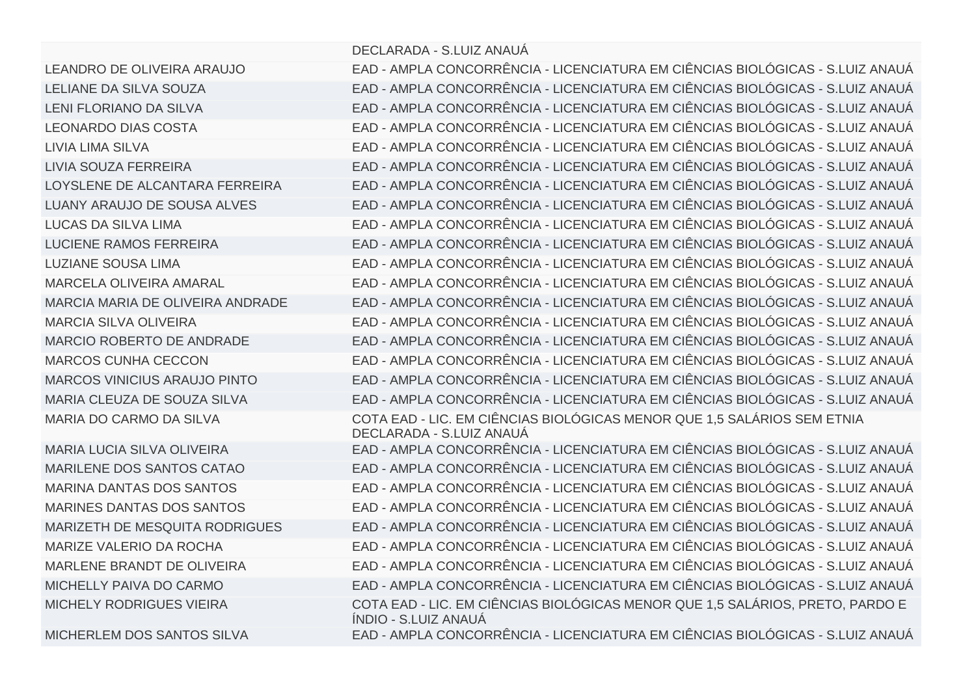|                                     | DECLARADA - S.LUIZ ANAUÁ                                                                              |
|-------------------------------------|-------------------------------------------------------------------------------------------------------|
| LEANDRO DE OLIVEIRA ARAUJO          | EAD - AMPLA CONCORRÊNCIA - LICENCIATURA EM CIÊNCIAS BIOLÓGICAS - S.LUIZ ANAUÁ                         |
| <b>LELIANE DA SILVA SOUZA</b>       | EAD - AMPLA CONCORRÊNCIA - LICENCIATURA EM CIÊNCIAS BIOLÓGICAS - S.LUIZ ANAUÁ                         |
| <b>LENI FLORIANO DA SILVA</b>       | EAD - AMPLA CONCORRÊNCIA - LICENCIATURA EM CIÊNCIAS BIOLÓGICAS - S.LUIZ ANAUÁ                         |
| <b>LEONARDO DIAS COSTA</b>          | EAD - AMPLA CONCORRÊNCIA - LICENCIATURA EM CIÊNCIAS BIOLÓGICAS - S.LUIZ ANAUÁ                         |
| <b>LIVIA LIMA SILVA</b>             | EAD - AMPLA CONCORRÊNCIA - LICENCIATURA EM CIÊNCIAS BIOLÓGICAS - S.LUIZ ANAUÁ                         |
| <b>LIVIA SOUZA FERREIRA</b>         | EAD - AMPLA CONCORRÊNCIA - LICENCIATURA EM CIÊNCIAS BIOLÓGICAS - S.LUIZ ANAUÁ                         |
| LOYSLENE DE ALCANTARA FERREIRA      | EAD - AMPLA CONCORRÊNCIA - LICENCIATURA EM CIÊNCIAS BIOLÓGICAS - S.LUIZ ANAUÁ                         |
| LUANY ARAUJO DE SOUSA ALVES         | EAD - AMPLA CONCORRÊNCIA - LICENCIATURA EM CIÊNCIAS BIOLÓGICAS - S.LUIZ ANAUÁ                         |
| LUCAS DA SILVA LIMA                 | EAD - AMPLA CONCORRÊNCIA - LICENCIATURA EM CIÊNCIAS BIOLÓGICAS - S.LUIZ ANAUÁ                         |
| <b>LUCIENE RAMOS FERREIRA</b>       | EAD - AMPLA CONCORRÊNCIA - LICENCIATURA EM CIÊNCIAS BIOLÓGICAS - S.LUIZ ANAUÁ                         |
| <b>LUZIANE SOUSA LIMA</b>           | EAD - AMPLA CONCORRÊNCIA - LICENCIATURA EM CIÊNCIAS BIOLÓGICAS - S.LUIZ ANAUÁ                         |
| <b>MARCELA OLIVEIRA AMARAL</b>      | EAD - AMPLA CONCORRÊNCIA - LICENCIATURA EM CIÊNCIAS BIOLÓGICAS - S.LUIZ ANAUÁ                         |
| MARCIA MARIA DE OLIVEIRA ANDRADE    | EAD - AMPLA CONCORRÊNCIA - LICENCIATURA EM CIÊNCIAS BIOLÓGICAS - S.LUIZ ANAUÁ                         |
| <b>MARCIA SILVA OLIVEIRA</b>        | EAD - AMPLA CONCORRÊNCIA - LICENCIATURA EM CIÊNCIAS BIOLÓGICAS - S.LUIZ ANAUÁ                         |
| <b>MARCIO ROBERTO DE ANDRADE</b>    | EAD - AMPLA CONCORRÊNCIA - LICENCIATURA EM CIÊNCIAS BIOLÓGICAS - S.LUIZ ANAUÁ                         |
| <b>MARCOS CUNHA CECCON</b>          | EAD - AMPLA CONCORRÊNCIA - LICENCIATURA EM CIÊNCIAS BIOLÓGICAS - S.LUIZ ANAUÁ                         |
| <b>MARCOS VINICIUS ARAUJO PINTO</b> | EAD - AMPLA CONCORRÊNCIA - LICENCIATURA EM CIÊNCIAS BIOLÓGICAS - S.LUIZ ANAUÁ                         |
| MARIA CLEUZA DE SOUZA SILVA         | EAD - AMPLA CONCORRÊNCIA - LICENCIATURA EM CIÊNCIAS BIOLÓGICAS - S.LUIZ ANAUÁ                         |
| MARIA DO CARMO DA SILVA             | COTA EAD - LIC. EM CIÊNCIAS BIOLÓGICAS MENOR QUE 1,5 SALÁRIOS SEM ETNIA<br>DECLARADA - S.LUIZ ANAUÁ   |
| <b>MARIA LUCIA SILVA OLIVEIRA</b>   | EAD - AMPLA CONCORRÊNCIA - LICENCIATURA EM CIÊNCIAS BIOLÓGICAS - S.LUIZ ANAUÁ                         |
| <b>MARILENE DOS SANTOS CATAO</b>    | EAD - AMPLA CONCORRÊNCIA - LICENCIATURA EM CIÊNCIAS BIOLÓGICAS - S.LUIZ ANAUÁ                         |
| <b>MARINA DANTAS DOS SANTOS</b>     | EAD - AMPLA CONCORRÊNCIA - LICENCIATURA EM CIÊNCIAS BIOLÓGICAS - S.LUIZ ANAUÁ                         |
| <b>MARINES DANTAS DOS SANTOS</b>    | EAD - AMPLA CONCORRÊNCIA - LICENCIATURA EM CIÊNCIAS BIOLÓGICAS - S.LUIZ ANAUÁ                         |
| MARIZETH DE MESQUITA RODRIGUES      | EAD - AMPLA CONCORRÊNCIA - LICENCIATURA EM CIÊNCIAS BIOLÓGICAS - S.LUIZ ANAUÁ                         |
| <b>MARIZE VALERIO DA ROCHA</b>      | EAD - AMPLA CONCORRÊNCIA - LICENCIATURA EM CIÊNCIAS BIOLÓGICAS - S.LUIZ ANAUÁ                         |
| MARLENE BRANDT DE OLIVEIRA          | EAD - AMPLA CONCORRÊNCIA - LICENCIATURA EM CIÊNCIAS BIOLÓGICAS - S.LUIZ ANAUÁ                         |
| MICHELLY PAIVA DO CARMO             | EAD - AMPLA CONCORRÊNCIA - LICENCIATURA EM CIÊNCIAS BIOLÓGICAS - S.LUIZ ANAUÁ                         |
| <b>MICHELY RODRIGUES VIEIRA</b>     | COTA EAD - LIC. EM CIÊNCIAS BIOLÓGICAS MENOR QUE 1,5 SALÁRIOS, PRETO, PARDO E<br>ÍNDIO - S.LUIZ ANAUÁ |
| MICHERLEM DOS SANTOS SILVA          | EAD - AMPLA CONCORRÊNCIA - LICENCIATURA EM CIÊNCIAS BIOLÓGICAS - S.LUIZ ANAUÁ                         |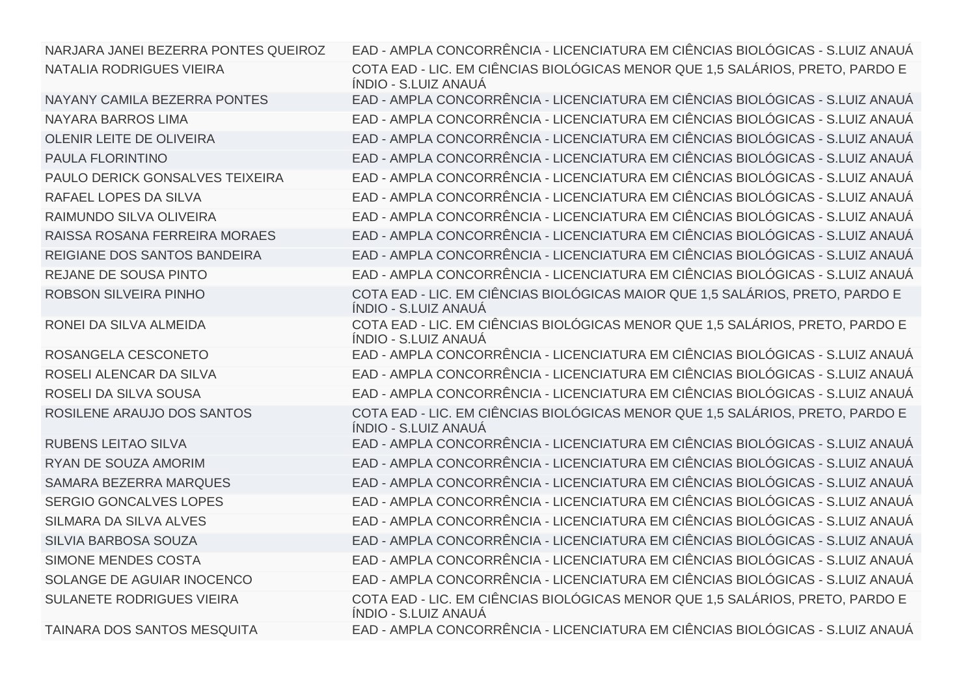| NARJARA JANEI BEZERRA PONTES QUEIROZ | EAD - AMPLA CONCORRÊNCIA - LICENCIATURA EM CIÊNCIAS BIOLÓGICAS - S.LUIZ ANAUÁ                         |
|--------------------------------------|-------------------------------------------------------------------------------------------------------|
| NATALIA RODRIGUES VIEIRA             | COTA EAD - LIC. EM CIÊNCIAS BIOLÓGICAS MENOR QUE 1,5 SALÁRIOS, PRETO, PARDO E<br>ÍNDIO - S.LUIZ ANAUÁ |
| NAYANY CAMILA BEZERRA PONTES         | EAD - AMPLA CONCORRÊNCIA - LICENCIATURA EM CIÊNCIAS BIOLÓGICAS - S.LUIZ ANAUÁ                         |
| NAYARA BARROS LIMA                   | EAD - AMPLA CONCORRÊNCIA - LICENCIATURA EM CIÊNCIAS BIOLÓGICAS - S.LUIZ ANAUÁ                         |
| OLENIR LEITE DE OLIVEIRA             | EAD - AMPLA CONCORRÊNCIA - LICENCIATURA EM CIÊNCIAS BIOLÓGICAS - S.LUIZ ANAUÁ                         |
| <b>PAULA FLORINTINO</b>              | EAD - AMPLA CONCORRÊNCIA - LICENCIATURA EM CIÊNCIAS BIOLÓGICAS - S.LUIZ ANAUÁ                         |
| PAULO DERICK GONSALVES TEIXEIRA      | EAD - AMPLA CONCORRÊNCIA - LICENCIATURA EM CIÊNCIAS BIOLÓGICAS - S.LUIZ ANAUÁ                         |
| RAFAEL LOPES DA SILVA                | EAD - AMPLA CONCORRÊNCIA - LICENCIATURA EM CIÊNCIAS BIOLÓGICAS - S.LUIZ ANAUÁ                         |
| RAIMUNDO SILVA OLIVEIRA              | EAD - AMPLA CONCORRÊNCIA - LICENCIATURA EM CIÊNCIAS BIOLÓGICAS - S.LUIZ ANAUÁ                         |
| RAISSA ROSANA FERREIRA MORAES        | EAD - AMPLA CONCORRÊNCIA - LICENCIATURA EM CIÊNCIAS BIOLÓGICAS - S.LUIZ ANAUÁ                         |
| REIGIANE DOS SANTOS BANDEIRA         | EAD - AMPLA CONCORRÊNCIA - LICENCIATURA EM CIÊNCIAS BIOLÓGICAS - S.LUIZ ANAUÁ                         |
| REJANE DE SOUSA PINTO                | EAD - AMPLA CONCORRÊNCIA - LICENCIATURA EM CIÊNCIAS BIOLÓGICAS - S.LUIZ ANAUÁ                         |
| ROBSON SILVEIRA PINHO                | COTA EAD - LIC. EM CIÊNCIAS BIOLÓGICAS MAIOR QUE 1,5 SALÁRIOS, PRETO, PARDO E<br>ÍNDIO - S.LUIZ ANAUÁ |
| RONEI DA SILVA ALMEIDA               | COTA EAD - LIC. EM CIÊNCIAS BIOLÓGICAS MENOR QUE 1,5 SALÁRIOS, PRETO, PARDO E<br>ÍNDIO - S.LUIZ ANAUÁ |
| ROSANGELA CESCONETO                  | EAD - AMPLA CONCORRÊNCIA - LICENCIATURA EM CIÊNCIAS BIOLÓGICAS - S.LUIZ ANAUÁ                         |
| ROSELI ALENCAR DA SILVA              | EAD - AMPLA CONCORRÊNCIA - LICENCIATURA EM CIÊNCIAS BIOLÓGICAS - S.LUIZ ANAUÁ                         |
| ROSELI DA SILVA SOUSA                | EAD - AMPLA CONCORRÊNCIA - LICENCIATURA EM CIÊNCIAS BIOLÓGICAS - S.LUIZ ANAUÁ                         |
| ROSILENE ARAUJO DOS SANTOS           | COTA EAD - LIC. EM CIÊNCIAS BIOLÓGICAS MENOR QUE 1,5 SALÁRIOS, PRETO, PARDO E<br>ÍNDIO - S.LUIZ ANAUÁ |
| <b>RUBENS LEITAO SILVA</b>           | EAD - AMPLA CONCORRÊNCIA - LICENCIATURA EM CIÊNCIAS BIOLÓGICAS - S.LUIZ ANAUÁ                         |
| RYAN DE SOUZA AMORIM                 | EAD - AMPLA CONCORRÊNCIA - LICENCIATURA EM CIÊNCIAS BIOLÓGICAS - S.LUIZ ANAUÁ                         |
| <b>SAMARA BEZERRA MARQUES</b>        | EAD - AMPLA CONCORRÊNCIA - LICENCIATURA EM CIÊNCIAS BIOLÓGICAS - S.LUIZ ANAUÁ                         |
| <b>SERGIO GONCALVES LOPES</b>        | EAD - AMPLA CONCORRÊNCIA - LICENCIATURA EM CIÊNCIAS BIOLÓGICAS - S.LUIZ ANAUÁ                         |
| SILMARA DA SILVA ALVES               | EAD - AMPLA CONCORRÊNCIA - LICENCIATURA EM CIÊNCIAS BIOLÓGICAS - S.LUIZ ANAUÁ                         |
| SILVIA BARBOSA SOUZA                 | EAD - AMPLA CONCORRÊNCIA - LICENCIATURA EM CIÊNCIAS BIOLÓGICAS - S.LUIZ ANAUÁ                         |
| <b>SIMONE MENDES COSTA</b>           | EAD - AMPLA CONCORRÊNCIA - LICENCIATURA EM CIÊNCIAS BIOLÓGICAS - S.LUIZ ANAUÁ                         |
| SOLANGE DE AGUIAR INOCENCO           | EAD - AMPLA CONCORRÊNCIA - LICENCIATURA EM CIÊNCIAS BIOLÓGICAS - S.LUIZ ANAUÁ                         |
| <b>SULANETE RODRIGUES VIEIRA</b>     | COTA EAD - LIC. EM CIÊNCIAS BIOLÓGICAS MENOR QUE 1,5 SALÁRIOS, PRETO, PARDO E<br>ÍNDIO - S.LUIZ ANAUÁ |
| <b>TAINARA DOS SANTOS MESQUITA</b>   | EAD - AMPLA CONCORRÊNCIA - LICENCIATURA EM CIÊNCIAS BIOLÓGICAS - S.LUIZ ANAUÁ                         |